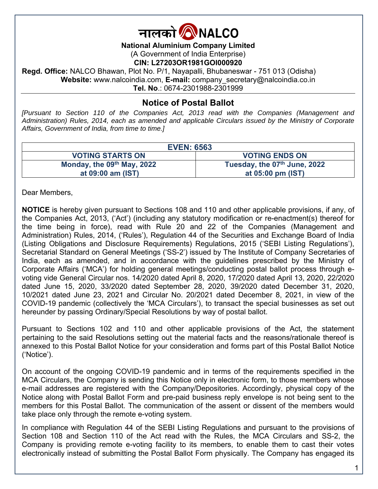

### **National Aluminium Company Limited**

(A Government of India Enterprise)

#### **CIN: L27203OR1981GOI000920**

**Regd. Office:** NALCO Bhawan, Plot No. P/1, Nayapalli, Bhubaneswar - 751 013 (Odisha) **Website:** www.nalcoindia.com, **E-mail:** company\_secretary@nalcoindia.co.in **Tel. No**.: 0674-2301988-2301999

# **Notice of Postal Ballot**

*[Pursuant to Section 110 of the Companies Act, 2013 read with the Companies (Management and Administration) Rules, 2014, each as amended and applicable Circulars issued by the Ministry of Corporate Affairs, Government of India, from time to time.]* 

| <b>EVEN: 6563</b>          |                              |  |
|----------------------------|------------------------------|--|
| <b>VOTING STARTS ON</b>    | <b>VOTING ENDS ON</b>        |  |
| Monday, the 09th May, 2022 | Tuesday, the 07th June, 2022 |  |
| at 09:00 am (IST)          | at 05:00 pm (IST)            |  |

Dear Members,

**NOTICE** is hereby given pursuant to Sections 108 and 110 and other applicable provisions, if any, of the Companies Act, 2013, ('Act') (including any statutory modification or re-enactment(s) thereof for the time being in force), read with Rule 20 and 22 of the Companies (Management and Administration) Rules, 2014, ('Rules'), Regulation 44 of the Securities and Exchange Board of India (Listing Obligations and Disclosure Requirements) Regulations, 2015 ('SEBI Listing Regulations'), Secretarial Standard on General Meetings ('SS-2') issued by The Institute of Company Secretaries of India, each as amended, and in accordance with the guidelines prescribed by the Ministry of Corporate Affairs ('MCA') for holding general meetings/conducting postal ballot process through evoting vide General Circular nos. 14/2020 dated April 8, 2020, 17/2020 dated April 13, 2020, 22/2020 dated June 15, 2020, 33/2020 dated September 28, 2020, 39/2020 dated December 31, 2020, 10/2021 dated June 23, 2021 and Circular No. 20/2021 dated December 8, 2021, in view of the COVID-19 pandemic (collectively the 'MCA Circulars'), to transact the special businesses as set out hereunder by passing Ordinary/Special Resolutions by way of postal ballot.

Pursuant to Sections 102 and 110 and other applicable provisions of the Act, the statement pertaining to the said Resolutions setting out the material facts and the reasons/rationale thereof is annexed to this Postal Ballot Notice for your consideration and forms part of this Postal Ballot Notice ('Notice').

On account of the ongoing COVID-19 pandemic and in terms of the requirements specified in the MCA Circulars, the Company is sending this Notice only in electronic form, to those members whose e-mail addresses are registered with the Company/Depositories. Accordingly, physical copy of the Notice along with Postal Ballot Form and pre-paid business reply envelope is not being sent to the members for this Postal Ballot. The communication of the assent or dissent of the members would take place only through the remote e-voting system.

In compliance with Regulation 44 of the SEBI Listing Regulations and pursuant to the provisions of Section 108 and Section 110 of the Act read with the Rules, the MCA Circulars and SS-2, the Company is providing remote e-voting facility to its members, to enable them to cast their votes electronically instead of submitting the Postal Ballot Form physically. The Company has engaged its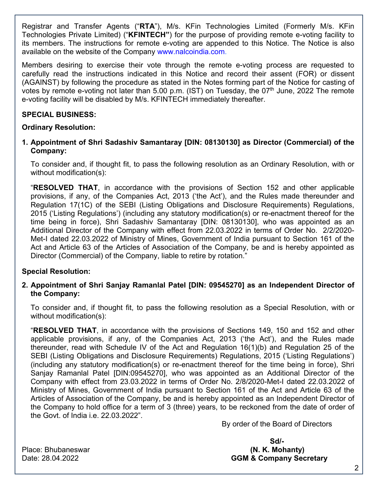Registrar and Transfer Agents ("**RTA**"), M/s. KFin Technologies Limited (Formerly M/s. KFin Technologies Private Limited) ("**KFINTECH"**) for the purpose of providing remote e-voting facility to its members. The instructions for remote e-voting are appended to this Notice. The Notice is also available on the website of the Company www.nalcoindia.com.

Members desiring to exercise their vote through the remote e-voting process are requested to carefully read the instructions indicated in this Notice and record their assent (FOR) or dissent (AGAINST) by following the procedure as stated in the Notes forming part of the Notice for casting of votes by remote e-voting not later than 5.00 p.m. (IST) on Tuesday, the  $07<sup>th</sup>$  June, 2022 The remote e-voting facility will be disabled by M/s. KFINTECH immediately thereafter.

### **SPECIAL BUSINESS:**

#### **Ordinary Resolution:**

**1. Appointment of Shri Sadashiv Samantaray [DIN: 08130130] as Director (Commercial) of the Company:** 

To consider and, if thought fit, to pass the following resolution as an Ordinary Resolution, with or without modification(s):

"**RESOLVED THAT**, in accordance with the provisions of Section 152 and other applicable provisions, if any, of the Companies Act, 2013 ('the Act'), and the Rules made thereunder and Regulation 17(1C) of the SEBI (Listing Obligations and Disclosure Requirements) Regulations, 2015 ('Listing Regulations') (including any statutory modification(s) or re-enactment thereof for the time being in force), Shri Sadashiv Samantaray [DIN: 08130130], who was appointed as an Additional Director of the Company with effect from 22.03.2022 in terms of Order No. 2/2/2020- Met-I dated 22.03.2022 of Ministry of Mines, Government of India pursuant to Section 161 of the Act and Article 63 of the Articles of Association of the Company, be and is hereby appointed as Director (Commercial) of the Company, liable to retire by rotation."

#### **Special Resolution:**

### **2. Appointment of Shri Sanjay Ramanlal Patel [DIN: 09545270] as an Independent Director of the Company:**

To consider and, if thought fit, to pass the following resolution as a Special Resolution, with or without modification(s):

"**RESOLVED THAT**, in accordance with the provisions of Sections 149, 150 and 152 and other applicable provisions, if any, of the Companies Act, 2013 ('the Act'), and the Rules made thereunder, read with Schedule IV of the Act and Regulation 16(1)(b) and Regulation 25 of the SEBI (Listing Obligations and Disclosure Requirements) Regulations, 2015 ('Listing Regulations') (including any statutory modification(s) or re-enactment thereof for the time being in force), Shri Sanjay Ramanlal Patel [DIN:09545270], who was appointed as an Additional Director of the Company with effect from 23.03.2022 in terms of Order No. 2/8/2020-Met-I dated 22.03.2022 of Ministry of Mines, Government of India pursuant to Section 161 of the Act and Article 63 of the Articles of Association of the Company, be and is hereby appointed as an Independent Director of the Company to hold office for a term of 3 (three) years, to be reckoned from the date of order of the Govt. of India i.e. 22.03.2022".

By order of the Board of Directors

**Sd/-**  Place: Bhubaneswar **(N. K. Mohanty)**  Date: 28.04.2022 **GGM & Company Secretary**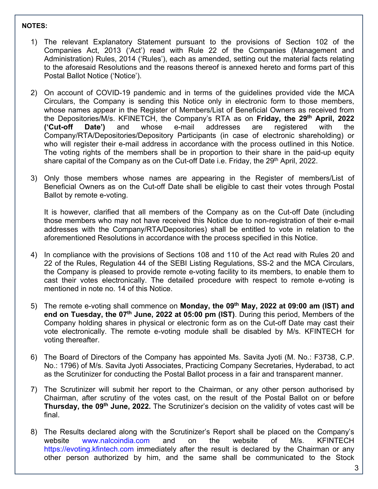#### **NOTES:**

- 1) The relevant Explanatory Statement pursuant to the provisions of Section 102 of the Companies Act, 2013 ('Act') read with Rule 22 of the Companies (Management and Administration) Rules, 2014 ('Rules'), each as amended, setting out the material facts relating to the aforesaid Resolutions and the reasons thereof is annexed hereto and forms part of this Postal Ballot Notice ('Notice').
- 2) On account of COVID-19 pandemic and in terms of the guidelines provided vide the MCA Circulars, the Company is sending this Notice only in electronic form to those members, whose names appear in the Register of Members/List of Beneficial Owners as received from the Depositories/M/s. KFINETCH, the Company's RTA as on **Friday, the 29th April, 2022 ('Cut-off Date')** and whose e-mail addresses are registered with the Company/RTA/Depositories/Depository Participants (in case of electronic shareholding) or who will register their e-mail address in accordance with the process outlined in this Notice. The voting rights of the members shall be in proportion to their share in the paid-up equity share capital of the Company as on the Cut-off Date i.e. Friday, the 29<sup>th</sup> April, 2022.
- 3) Only those members whose names are appearing in the Register of members/List of Beneficial Owners as on the Cut-off Date shall be eligible to cast their votes through Postal Ballot by remote e-voting.

It is however, clarified that all members of the Company as on the Cut-off Date (including those members who may not have received this Notice due to non-registration of their e-mail addresses with the Company/RTA/Depositories) shall be entitled to vote in relation to the aforementioned Resolutions in accordance with the process specified in this Notice.

- 4) In compliance with the provisions of Sections 108 and 110 of the Act read with Rules 20 and 22 of the Rules, Regulation 44 of the SEBI Listing Regulations, SS-2 and the MCA Circulars, the Company is pleased to provide remote e-voting facility to its members, to enable them to cast their votes electronically. The detailed procedure with respect to remote e-voting is mentioned in note no. 14 of this Notice.
- 5) The remote e-voting shall commence on **Monday, the 09th May, 2022 at 09:00 am (IST) and end on Tuesday, the 07<sup>th</sup> June, 2022 at 05:00 pm (IST)**. During this period, Members of the Company holding shares in physical or electronic form as on the Cut-off Date may cast their vote electronically. The remote e-voting module shall be disabled by M/s. KFINTECH for voting thereafter.
- 6) The Board of Directors of the Company has appointed Ms. Savita Jyoti (M. No.: F3738, C.P. No.: 1796) of M/s. Savita Jyoti Associates, Practicing Company Secretaries, Hyderabad, to act as the Scrutinizer for conducting the Postal Ballot process in a fair and transparent manner.
- 7) The Scrutinizer will submit her report to the Chairman, or any other person authorised by Chairman, after scrutiny of the votes cast, on the result of the Postal Ballot on or before **Thursday, the 09th June, 2022.** The Scrutinizer's decision on the validity of votes cast will be final.
- 8) The Results declared along with the Scrutinizer's Report shall be placed on the Company's website www.nalcoindia.com and on the website of M/s. KFINTECH https://evoting.kfintech.com immediately after the result is declared by the Chairman or any other person authorized by him, and the same shall be communicated to the Stock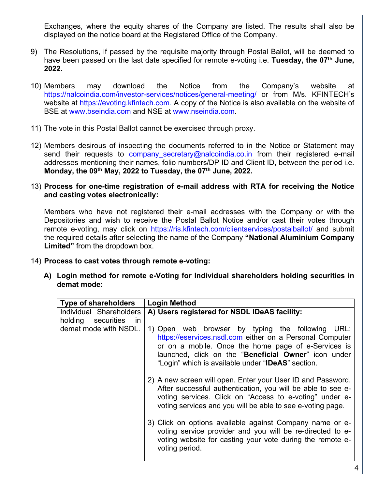Exchanges, where the equity shares of the Company are listed. The results shall also be displayed on the notice board at the Registered Office of the Company.

- 9) The Resolutions, if passed by the requisite majority through Postal Ballot, will be deemed to have been passed on the last date specified for remote e-voting i.e. **Tuesday, the 07th June, 2022.**
- 10) Members may download the Notice from the Company's website at https://nalcoindia.com/investor-services/notices/general-meeting/ or from M/s. KFINTECH's website at https://evoting.kfintech.com. A copy of the Notice is also available on the website of BSE at www.bseindia.com and NSE at www.nseindia.com.
- 11) The vote in this Postal Ballot cannot be exercised through proxy.
- 12) Members desirous of inspecting the documents referred to in the Notice or Statement may send their requests to company secretary@nalcoindia.co.in from their registered e-mail addresses mentioning their names, folio numbers/DP ID and Client ID, between the period i.e. Monday, the 09<sup>th</sup> May, 2022 to Tuesday, the 07<sup>th</sup> June, 2022.
- 13) **Process for one-time registration of e-mail address with RTA for receiving the Notice and casting votes electronically:**

Members who have not registered their e-mail addresses with the Company or with the Depositories and wish to receive the Postal Ballot Notice and/or cast their votes through remote e-voting, may click on https://ris.kfintech.com/clientservices/postalballot/ and submit the required details after selecting the name of the Company **"National Aluminium Company Limited"** from the dropdown box.

- 14) **Process to cast votes through remote e-voting:** 
	- **A) Login method for remote e-Voting for Individual shareholders holding securities in demat mode:**

| <b>Type of shareholders</b>         | <b>Login Method</b>                                                                                                                                                                                                                                                              |
|-------------------------------------|----------------------------------------------------------------------------------------------------------------------------------------------------------------------------------------------------------------------------------------------------------------------------------|
| Individual Shareholders             | A) Users registered for NSDL IDeAS facility:                                                                                                                                                                                                                                     |
| holding securities<br><sub>In</sub> |                                                                                                                                                                                                                                                                                  |
| demat mode with NSDL.               | 1) Open web browser by typing the following URL:<br>https://eservices.nsdl.com either on a Personal Computer<br>or on a mobile. Once the home page of e-Services is<br>launched, click on the "Beneficial Owner" icon under<br>"Login" which is available under "IDeAS" section. |
|                                     | 2) A new screen will open. Enter your User ID and Password.<br>After successful authentication, you will be able to see e-<br>voting services. Click on "Access to e-voting" under e-<br>voting services and you will be able to see e-voting page.                              |
|                                     | 3) Click on options available against Company name or e-<br>voting service provider and you will be re-directed to e-<br>voting website for casting your vote during the remote e-<br>voting period.                                                                             |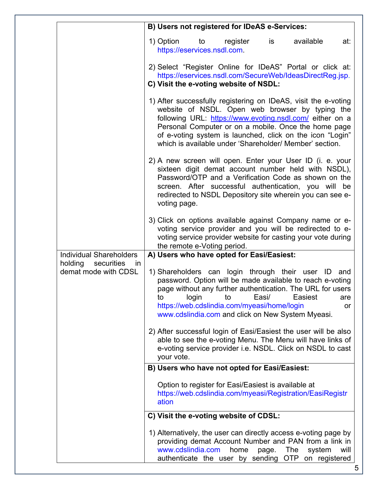|                                                            | B) Users not registered for IDeAS e-Services:                                                                                                                                                                                                                                                                                                                 |
|------------------------------------------------------------|---------------------------------------------------------------------------------------------------------------------------------------------------------------------------------------------------------------------------------------------------------------------------------------------------------------------------------------------------------------|
|                                                            | available<br>1) Option to register<br>is<br>at:<br>https://eservices.nsdl.com.                                                                                                                                                                                                                                                                                |
|                                                            | 2) Select "Register Online for IDeAS" Portal or click at:<br>https://eservices.nsdl.com/SecureWeb/IdeasDirectReg.jsp.<br>C) Visit the e-voting website of NSDL:                                                                                                                                                                                               |
|                                                            | 1) After successfully registering on IDeAS, visit the e-voting<br>website of NSDL. Open web browser by typing the<br>following URL: https://www.evoting.nsdl.com/ either on a<br>Personal Computer or on a mobile. Once the home page<br>of e-voting system is launched, click on the icon "Login"<br>which is available under 'Shareholder/ Member' section. |
|                                                            | 2) A new screen will open. Enter your User ID (i. e. your<br>sixteen digit demat account number held with NSDL),<br>Password/OTP and a Verification Code as shown on the<br>screen. After successful authentication, you will be<br>redirected to NSDL Depository site wherein you can see e-<br>voting page.                                                 |
|                                                            | 3) Click on options available against Company name or e-<br>voting service provider and you will be redirected to e-<br>voting service provider website for casting your vote during<br>the remote e-Voting period.                                                                                                                                           |
| <b>Individual Shareholders</b>                             | A) Users who have opted for Easi/Easiest:                                                                                                                                                                                                                                                                                                                     |
| holding<br>securities<br><i>in</i><br>demat mode with CDSL | 1) Shareholders can login through their user ID and<br>password. Option will be made available to reach e-voting<br>page without any further authentication. The URL for users<br>login<br>to<br>Easi/<br>Easiest<br>to<br>are<br>https://web.cdslindia.com/myeasi/home/login<br>or<br>www.cdslindia.com and click on New System Myeasi.                      |
|                                                            | 2) After successful login of Easi/Easiest the user will be also<br>able to see the e-voting Menu. The Menu will have links of<br>e-voting service provider i.e. NSDL. Click on NSDL to cast<br>your vote.                                                                                                                                                     |
|                                                            | B) Users who have not opted for Easi/Easiest:                                                                                                                                                                                                                                                                                                                 |
|                                                            | Option to register for Easi/Easiest is available at<br>https://web.cdslindia.com/myeasi/Registration/EasiRegistr<br>ation                                                                                                                                                                                                                                     |
|                                                            | C) Visit the e-voting website of CDSL:                                                                                                                                                                                                                                                                                                                        |
|                                                            | 1) Alternatively, the user can directly access e-voting page by<br>providing demat Account Number and PAN from a link in<br>www.cdslindia.com<br>home<br>The<br>page.<br>system<br>will<br>authenticate the user by sending<br><b>OTP</b><br>on registered                                                                                                    |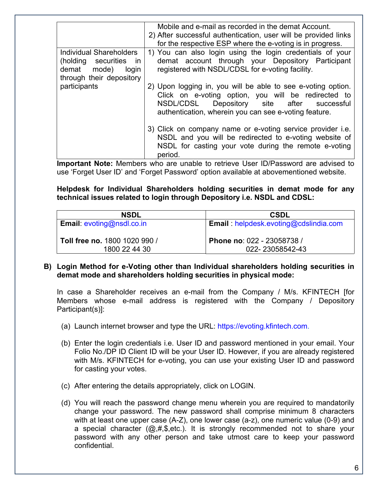|                                                                                                       | Mobile and e-mail as recorded in the demat Account.<br>2) After successful authentication, user will be provided links<br>for the respective ESP where the e-voting is in progress.                                        |
|-------------------------------------------------------------------------------------------------------|----------------------------------------------------------------------------------------------------------------------------------------------------------------------------------------------------------------------------|
| Individual Shareholders<br>(holding securities in<br>demat mode)<br>login<br>through their depository | 1) You can also login using the login credentials of your<br>demat account through your Depository Participant<br>registered with NSDL/CDSL for e-voting facility.                                                         |
| participants                                                                                          | 2) Upon logging in, you will be able to see e-voting option.<br>Click on e-voting option, you will be redirected to<br>NSDL/CDSL Depository site after successful<br>authentication, wherein you can see e-voting feature. |
|                                                                                                       | 3) Click on company name or e-voting service provider i.e.<br>NSDL and you will be redirected to e-voting website of<br>NSDL for casting your vote during the remote e-voting<br>period.                                   |

**Important Note:** Members who are unable to retrieve User ID/Password are advised to use 'Forget User ID' and 'Forget Password' option available at abovementioned website.

**Helpdesk for Individual Shareholders holding securities in demat mode for any technical issues related to login through Depository i.e. NSDL and CDSL:** 

| <b>NSDL</b>                      | <b>CSDL</b>                                   |
|----------------------------------|-----------------------------------------------|
| <b>Email:</b> evoting@nsdl.co.in | <b>Email</b> : helpdesk.evoting@cdslindia.com |
| Toll free no. 1800 1020 990 /    | Phone no: 022 - 23058738 /                    |
| 1800 22 44 30                    | 022-23058542-43                               |

#### **B) Login Method for e-Voting other than Individual shareholders holding securities in demat mode and shareholders holding securities in physical mode:**

In case a Shareholder receives an e-mail from the Company / M/s. KFINTECH [for Members whose e-mail address is registered with the Company / Depository Participant(s)]:

- (a) Launch internet browser and type the URL: https://evoting.kfintech.com.
- (b) Enter the login credentials i.e. User ID and password mentioned in your email. Your Folio No./DP ID Client ID will be your User ID. However, if you are already registered with M/s. KFINTECH for e-voting, you can use your existing User ID and password for casting your votes.
- (c) After entering the details appropriately, click on LOGIN.
- (d) You will reach the password change menu wherein you are required to mandatorily change your password. The new password shall comprise minimum 8 characters with at least one upper case (A-Z), one lower case (a-z), one numeric value (0-9) and a special character  $(Q, #, \$, etc.)$ . It is strongly recommended not to share your password with any other person and take utmost care to keep your password confidential.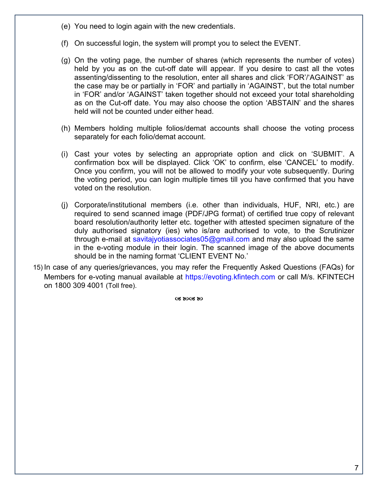- (e) You need to login again with the new credentials.
- (f) On successful login, the system will prompt you to select the EVENT.
- (g) On the voting page, the number of shares (which represents the number of votes) held by you as on the cut-off date will appear. If you desire to cast all the votes assenting/dissenting to the resolution, enter all shares and click 'FOR'/'AGAINST' as the case may be or partially in 'FOR' and partially in 'AGAINST', but the total number in 'FOR' and/or 'AGAINST' taken together should not exceed your total shareholding as on the Cut-off date. You may also choose the option 'ABSTAIN' and the shares held will not be counted under either head.
- (h) Members holding multiple folios/demat accounts shall choose the voting process separately for each folio/demat account.
- (i) Cast your votes by selecting an appropriate option and click on 'SUBMIT'. A confirmation box will be displayed. Click 'OK' to confirm, else 'CANCEL' to modify. Once you confirm, you will not be allowed to modify your vote subsequently. During the voting period, you can login multiple times till you have confirmed that you have voted on the resolution.
- (j) Corporate/institutional members (i.e. other than individuals, HUF, NRI, etc.) are required to send scanned image (PDF/JPG format) of certified true copy of relevant board resolution/authority letter etc. together with attested specimen signature of the duly authorised signatory (ies) who is/are authorised to vote, to the Scrutinizer through e-mail at savitajyotiassociates05@gmail.com and may also upload the same in the e-voting module in their login. The scanned image of the above documents should be in the naming format 'CLIENT EVENT No.'
- 15) In case of any queries/grievances, you may refer the Frequently Asked Questions (FAQs) for Members for e-voting manual available at https://evoting.kfintech.com or call M/s. KFINTECH on 1800 309 4001 (Toll free).

CS 80CS 80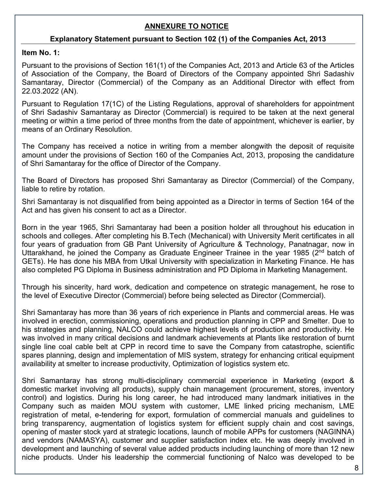## **ANNEXURE TO NOTICE**

### **Explanatory Statement pursuant to Section 102 (1) of the Companies Act, 2013**

**Item No. 1:** 

Pursuant to the provisions of Section 161(1) of the Companies Act, 2013 and Article 63 of the Articles of Association of the Company, the Board of Directors of the Company appointed Shri Sadashiv Samantaray, Director (Commercial) of the Company as an Additional Director with effect from 22.03.2022 (AN).

Pursuant to Regulation 17(1C) of the Listing Regulations, approval of shareholders for appointment of Shri Sadashiv Samantaray as Director (Commercial) is required to be taken at the next general meeting or within a time period of three months from the date of appointment, whichever is earlier, by means of an Ordinary Resolution.

The Company has received a notice in writing from a member alongwith the deposit of requisite amount under the provisions of Section 160 of the Companies Act, 2013, proposing the candidature of Shri Samantaray for the office of Director of the Company.

The Board of Directors has proposed Shri Samantaray as Director (Commercial) of the Company, liable to retire by rotation.

Shri Samantaray is not disqualified from being appointed as a Director in terms of Section 164 of the Act and has given his consent to act as a Director.

Born in the year 1965, Shri Samantaray had been a position holder all throughout his education in schools and colleges. After completing his B.Tech (Mechanical) with University Merit certificates in all four years of graduation from GB Pant University of Agriculture & Technology, Panatnagar, now in Uttarakhand, he joined the Company as Graduate Engineer Trainee in the year 1985 (2<sup>nd</sup> batch of GETs). He has done his MBA from Utkal University with specialization in Marketing Finance. He has also completed PG Diploma in Business administration and PD Diploma in Marketing Management.

Through his sincerity, hard work, dedication and competence on strategic management, he rose to the level of Executive Director (Commercial) before being selected as Director (Commercial).

Shri Samantaray has more than 36 years of rich experience in Plants and commercial areas. He was involved in erection, commissioning, operations and production planning in CPP and Smelter. Due to his strategies and planning, NALCO could achieve highest levels of production and productivity. He was involved in many critical decisions and landmark achievements at Plants like restoration of burnt single line coal cable belt at CPP in record time to save the Company from catastrophe, scientific spares planning, design and implementation of MIS system, strategy for enhancing critical equipment availability at smelter to increase productivity, Optimization of logistics system etc.

Shri Samantaray has strong multi-disciplinary commercial experience in Marketing (export & domestic market involving all products), supply chain management (procurement, stores, inventory control) and logistics. During his long career, he had introduced many landmark initiatives in the Company such as maiden MOU system with customer, LME linked pricing mechanism, LME registration of metal, e-tendering for export, formulation of commercial manuals and guidelines to bring transparency, augmentation of logistics system for efficient supply chain and cost savings, opening of master stock yard at strategic locations, launch of mobile APPs for customers (NAGINNA) and vendors (NAMASYA), customer and supplier satisfaction index etc. He was deeply involved in development and launching of several value added products including launching of more than 12 new niche products. Under his leadership the commercial functioning of Nalco was developed to be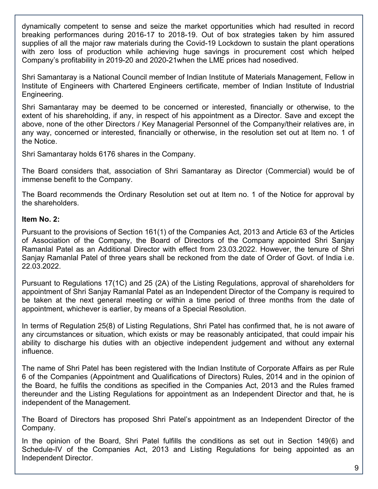dynamically competent to sense and seize the market opportunities which had resulted in record breaking performances during 2016-17 to 2018-19. Out of box strategies taken by him assured supplies of all the major raw materials during the Covid-19 Lockdown to sustain the plant operations with zero loss of production while achieving huge savings in procurement cost which helped Company's profitability in 2019-20 and 2020-21when the LME prices had nosedived.

Shri Samantaray is a National Council member of Indian Institute of Materials Management, Fellow in Institute of Engineers with Chartered Engineers certificate, member of Indian Institute of Industrial Engineering.

Shri Samantaray may be deemed to be concerned or interested, financially or otherwise, to the extent of his shareholding, if any, in respect of his appointment as a Director. Save and except the above, none of the other Directors / Key Managerial Personnel of the Company/their relatives are, in any way, concerned or interested, financially or otherwise, in the resolution set out at Item no. 1 of the Notice.

Shri Samantaray holds 6176 shares in the Company.

The Board considers that, association of Shri Samantaray as Director (Commercial) would be of immense benefit to the Company.

The Board recommends the Ordinary Resolution set out at Item no. 1 of the Notice for approval by the shareholders.

### **Item No. 2:**

Pursuant to the provisions of Section 161(1) of the Companies Act, 2013 and Article 63 of the Articles of Association of the Company, the Board of Directors of the Company appointed Shri Sanjay Ramanlal Patel as an Additional Director with effect from 23.03.2022. However, the tenure of Shri Sanjay Ramanlal Patel of three years shall be reckoned from the date of Order of Govt. of India i.e. 22.03.2022.

Pursuant to Regulations 17(1C) and 25 (2A) of the Listing Regulations, approval of shareholders for appointment of Shri Sanjay Ramanlal Patel as an Independent Director of the Company is required to be taken at the next general meeting or within a time period of three months from the date of appointment, whichever is earlier, by means of a Special Resolution.

In terms of Regulation 25(8) of Listing Regulations, Shri Patel has confirmed that, he is not aware of any circumstances or situation, which exists or may be reasonably anticipated, that could impair his ability to discharge his duties with an objective independent judgement and without any external influence.

The name of Shri Patel has been registered with the Indian Institute of Corporate Affairs as per Rule 6 of the Companies (Appointment and Qualifications of Directors) Rules, 2014 and in the opinion of the Board, he fulfils the conditions as specified in the Companies Act, 2013 and the Rules framed thereunder and the Listing Regulations for appointment as an Independent Director and that, he is independent of the Management.

The Board of Directors has proposed Shri Patel's appointment as an Independent Director of the Company.

In the opinion of the Board, Shri Patel fulfills the conditions as set out in Section 149(6) and Schedule-IV of the Companies Act, 2013 and Listing Regulations for being appointed as an Independent Director.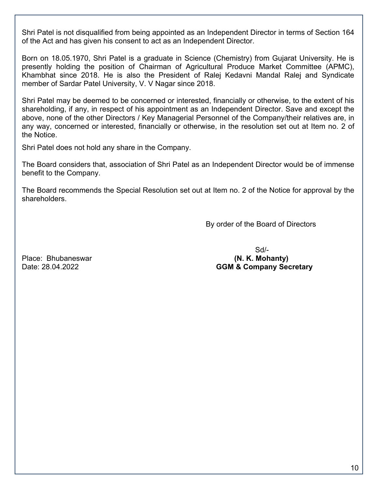Shri Patel is not disqualified from being appointed as an Independent Director in terms of Section 164 of the Act and has given his consent to act as an Independent Director.

Born on 18.05.1970, Shri Patel is a graduate in Science (Chemistry) from Gujarat University. He is presently holding the position of Chairman of Agricultural Produce Market Committee (APMC), Khambhat since 2018. He is also the President of Ralej Kedavni Mandal Ralej and Syndicate member of Sardar Patel University, V. V Nagar since 2018.

Shri Patel may be deemed to be concerned or interested, financially or otherwise, to the extent of his shareholding, if any, in respect of his appointment as an Independent Director. Save and except the above, none of the other Directors / Key Managerial Personnel of the Company/their relatives are, in any way, concerned or interested, financially or otherwise, in the resolution set out at Item no. 2 of the Notice.

Shri Patel does not hold any share in the Company.

The Board considers that, association of Shri Patel as an Independent Director would be of immense benefit to the Company.

The Board recommends the Special Resolution set out at Item no. 2 of the Notice for approval by the shareholders.

By order of the Board of Directors

 Sd/- Place: Bhubaneswar **(N. K. Mohanty) (N. K. Mohanty)** Date: 28.04.2022 **GGM & Company Secretary**